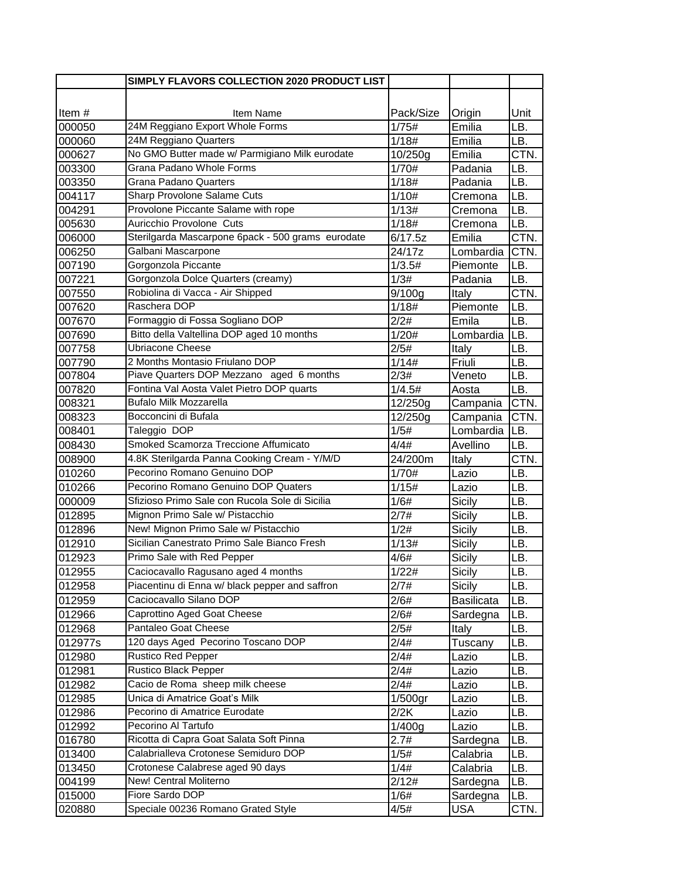|          | SIMPLY FLAVORS COLLECTION 2020 PRODUCT LIST       |            |                   |      |
|----------|---------------------------------------------------|------------|-------------------|------|
|          |                                                   |            |                   |      |
| Item $#$ | Item Name                                         | Pack/Size  | Origin            | Unit |
| 000050   | 24M Reggiano Export Whole Forms                   | 1/75#      | Emilia            | LB.  |
| 000060   | 24M Reggiano Quarters                             | 1/18#      | Emilia            | LB.  |
| 000627   | No GMO Butter made w/ Parmigiano Milk eurodate    | 10/250g    | Emilia            | CTN. |
| 003300   | Grana Padano Whole Forms                          | 1/70#      | Padania           | LB.  |
| 003350   | Grana Padano Quarters                             | 1/18#      | Padania           | LB.  |
| 004117   | Sharp Provolone Salame Cuts                       | 1/10#      | Cremona           | LB.  |
| 004291   | Provolone Piccante Salame with rope               | 1/13#      | Cremona           | LB.  |
| 005630   | Auricchio Provolone Cuts                          | 1/18#      | Cremona           | LB.  |
| 006000   | Sterilgarda Mascarpone 6pack - 500 grams eurodate | 6/17.5z    | Emilia            | CTN. |
| 006250   | Galbani Mascarpone                                | 24/17z     | Lombardia         | CTN. |
| 007190   | Gorgonzola Piccante                               | 1/3.5#     | Piemonte          | LB.  |
| 007221   | Gorgonzola Dolce Quarters (creamy)                | 1/3#       | Padania           | LB.  |
| 007550   | Robiolina di Vacca - Air Shipped                  | 9/100g     | Italy             | CTN. |
| 007620   | Raschera DOP                                      | 1/18#      | Piemonte          | LB.  |
| 007670   | Formaggio di Fossa Sogliano DOP                   | 2/2#       | Emila             | LB.  |
| 007690   | Bitto della Valtellina DOP aged 10 months         | 1/20#      | Lombardia         | LB.  |
| 007758   | <b>Ubriacone Cheese</b>                           | 2/5#       | Italy             | LB.  |
| 007790   | 2 Months Montasio Friulano DOP                    | 1/14#      | Friuli            | LB.  |
| 007804   | Piave Quarters DOP Mezzano aged 6 months          | 2/3#       | Veneto            | LB.  |
| 007820   | Fontina Val Aosta Valet Pietro DOP quarts         | 1/4.5#     | Aosta             | LB.  |
| 008321   | Bufalo Milk Mozzarella                            | 12/250g    | Campania          | CTN. |
| 008323   | Bocconcini di Bufala                              | 12/250g    | Campania          | CTN. |
| 008401   | Taleggio DOP                                      | 1/5#       | Lombardia         | LB.  |
| 008430   | Smoked Scamorza Treccione Affumicato              | 4/4#       | Avellino          | LB.  |
| 008900   | 4.8K Sterilgarda Panna Cooking Cream - Y/M/D      | 24/200m    | Italy             | CTN. |
| 010260   | Pecorino Romano Genuino DOP                       | 1/70#      | Lazio             | LB.  |
| 010266   | Pecorino Romano Genuino DOP Quaters               | 1/15#      | Lazio             | LB.  |
| 000009   | Sfizioso Primo Sale con Rucola Sole di Sicilia    | 1/6#       | Sicily            | LB.  |
| 012895   | Mignon Primo Sale w/ Pistacchio                   | 2/7#       | Sicily            | LB.  |
| 012896   | New! Mignon Primo Sale w/ Pistacchio              | 1/2#       | Sicily            | LB.  |
| 012910   | Sicilian Canestrato Primo Sale Bianco Fresh       | 1/13#      | Sicily            | LB.  |
| 012923   | Primo Sale with Red Pepper                        | 4/6#       | Sicily            | LB.  |
| 012955   | Caciocavallo Ragusano aged 4 months               | 1/22#      | Sicily            | LB.  |
| 012958   | Piacentinu di Enna w/ black pepper and saffron    | 2/7#       | Sicily            | LB.  |
| 012959   | Caciocavallo Silano DOP                           | 2/6#       | <b>Basilicata</b> | LB.  |
| 012966   | Caprottino Aged Goat Cheese                       | 2/6#       | Sardegna          | LB.  |
| 012968   | Pantaleo Goat Cheese                              | 2/5#       | Italy             | LB.  |
| 012977s  | 120 days Aged Pecorino Toscano DOP                | 2/4#       | Tuscany           | LB.  |
| 012980   | <b>Rustico Red Pepper</b>                         | 2/4#       | Lazio             | LB.  |
| 012981   | <b>Rustico Black Pepper</b>                       | 2/4#       | Lazio             | LB.  |
| 012982   | Cacio de Roma sheep milk cheese                   | 2/4#       | Lazio             | LB.  |
| 012985   | Unica di Amatrice Goat's Milk                     | $1/500$ gr | Lazio             | LB.  |
| 012986   | Pecorino di Amatrice Eurodate                     | 2/2K       | Lazio             | LB.  |
| 012992   | Pecorino Al Tartufo                               | 1/400g     | Lazio             | LB.  |
| 016780   | Ricotta di Capra Goat Salata Soft Pinna           | 2.7#       | Sardegna          | LB.  |
| 013400   | Calabrialleva Crotonese Semiduro DOP              | 1/5#       | Calabria          | LB.  |
| 013450   | Crotonese Calabrese aged 90 days                  | 1/4#       | Calabria          | LB.  |
| 004199   | New! Central Moliterno                            | 2/12#      | Sardegna          | LB.  |
| 015000   | Fiore Sardo DOP                                   | 1/6#       | Sardegna          | LB.  |
| 020880   | Speciale 00236 Romano Grated Style                | 4/5#       | <b>USA</b>        | CTN. |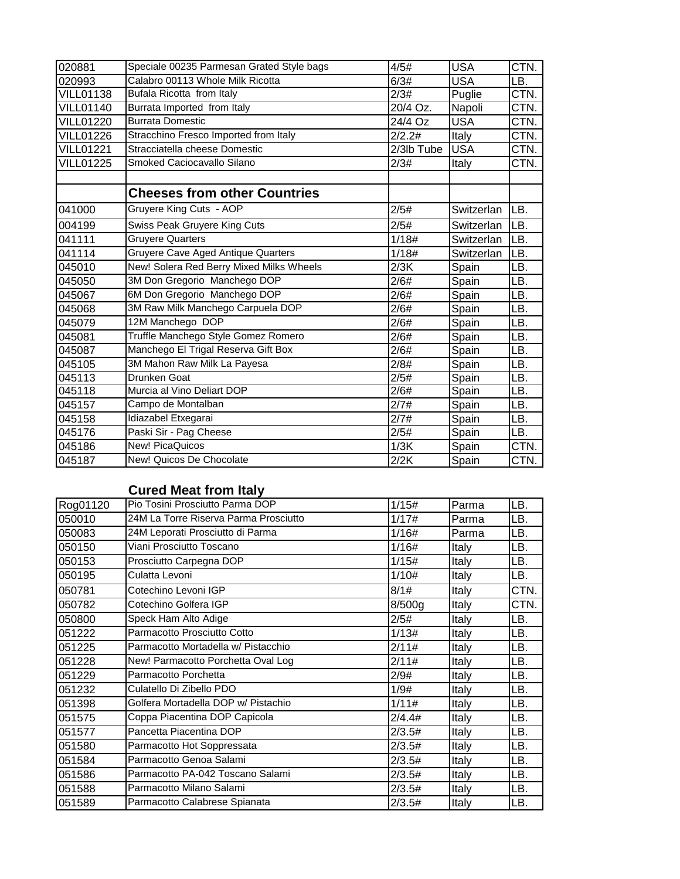| 020881           | Speciale 00235 Parmesan Grated Style bags | 4/5#       | <b>USA</b> | CTN. |
|------------------|-------------------------------------------|------------|------------|------|
| 020993           | Calabro 00113 Whole Milk Ricotta          | 6/3#       | <b>USA</b> | LB.  |
| <b>VILL01138</b> | Bufala Ricotta from Italy                 | 2/3#       | Puglie     | CTN. |
| <b>VILL01140</b> | Burrata Imported from Italy               | 20/4 Oz.   | Napoli     | CTN. |
| <b>VILL01220</b> | <b>Burrata Domestic</b>                   | 24/4 Oz    | <b>USA</b> | CTN. |
| <b>VILL01226</b> | Stracchino Fresco Imported from Italy     | 2/2.2#     | Italy      | CTN. |
| <b>VILL01221</b> | Stracciatella cheese Domestic             | 2/3lb Tube | <b>USA</b> | CTN. |
| <b>VILL01225</b> | Smoked Caciocavallo Silano                | 2/3#       | Italy      | CTN. |
|                  |                                           |            |            |      |
|                  | <b>Cheeses from other Countries</b>       |            |            |      |
| 041000           | Gruyere King Cuts - AOP                   | 2/5#       | Switzerlan | LB.  |
| 004199           | Swiss Peak Gruyere King Cuts              | 2/5#       | Switzerlan | LB.  |
| 041111           | <b>Gruyere Quarters</b>                   | 1/18#      | Switzerlan | LB.  |
| 041114           | Gruyere Cave Aged Antique Quarters        | 1/18#      | Switzerlan | LB.  |
| 045010           | New! Solera Red Berry Mixed Milks Wheels  | 2/3K       | Spain      | LB.  |
| 045050           | 3M Don Gregorio Manchego DOP              | 2/6#       | Spain      | LB.  |
| 045067           | 6M Don Gregorio Manchego DOP              | 2/6#       | Spain      | LB.  |
| 045068           | 3M Raw Milk Manchego Carpuela DOP         | 2/6#       | Spain      | LB.  |
| 045079           | 12M Manchego DOP                          | 2/6#       | Spain      | LB.  |
| 045081           | Truffle Manchego Style Gomez Romero       | 2/6#       | Spain      | LB.  |
| 045087           | Manchego El Trigal Reserva Gift Box       | 2/6#       | Spain      | LB.  |
| 045105           | 3M Mahon Raw Milk La Payesa               | 2/8#       | Spain      | LB.  |
| 045113           | Drunken Goat                              | 2/5#       | Spain      | LB.  |
| 045118           | Murcia al Vino Deliart DOP                | 2/6#       | Spain      | LB.  |
| 045157           | Campo de Montalban                        | 2/7#       | Spain      | LB.  |
| 045158           | Idiazabel Etxegarai                       | 2/7#       | Spain      | LB.  |
| 045176           | Paski Sir - Pag Cheese                    | 2/5#       | Spain      | LB.  |
| 045186           | <b>New! PicaQuicos</b>                    | 1/3K       | Spain      | CTN. |
| 045187           | New! Quicos De Chocolate                  | 2/2K       | Spain      | CTN. |

## **Cured Meat from Italy**

| Rog01120 | Pio Tosini Prosciutto Parma DOP       | 1/15#  | Parma | LB.  |
|----------|---------------------------------------|--------|-------|------|
| 050010   | 24M La Torre Riserva Parma Prosciutto | 1/17#  | Parma | LB.  |
| 050083   | 24M Leporati Prosciutto di Parma      | 1/16#  | Parma | LB.  |
| 050150   | Viani Prosciutto Toscano              | 1/16#  | Italy | LB.  |
| 050153   | Prosciutto Carpegna DOP               | 1/15#  | Italy | LB.  |
| 050195   | Culatta Levoni                        | 1/10#  | Italy | LB.  |
| 050781   | Cotechino Levoni IGP                  | 8/1#   | Italy | CTN. |
| 050782   | Cotechino Golfera IGP                 | 8/500q | Italy | CTN. |
| 050800   | Speck Ham Alto Adige                  | 2/5#   | Italy | LB.  |
| 051222   | Parmacotto Prosciutto Cotto           | 1/13#  | Italy | LB.  |
| 051225   | Parmacotto Mortadella w/ Pistacchio   | 2/11#  | Italy | LB.  |
| 051228   | New! Parmacotto Porchetta Oval Log    | 2/11#  | Italy | LB.  |
| 051229   | Parmacotto Porchetta                  | 2/9#   | Italy | LB.  |
| 051232   | Culatello Di Zibello PDO              | 1/9#   | Italy | LB.  |
| 051398   | Golfera Mortadella DOP w/ Pistachio   | 1/11#  | Italy | LB.  |
| 051575   | Coppa Piacentina DOP Capicola         | 2/4.4# | Italy | LB.  |
| 051577   | Pancetta Piacentina DOP               | 2/3.5# | Italy | LB.  |
| 051580   | Parmacotto Hot Soppressata            | 2/3.5# | Italy | LB.  |
| 051584   | Parmacotto Genoa Salami               | 2/3.5# | Italy | LB.  |
| 051586   | Parmacotto PA-042 Toscano Salami      | 2/3.5# | Italy | LB.  |
| 051588   | Parmacotto Milano Salami              | 2/3.5# | Italy | LB.  |
| 051589   | Parmacotto Calabrese Spianata         | 2/3.5# | Italy | LB.  |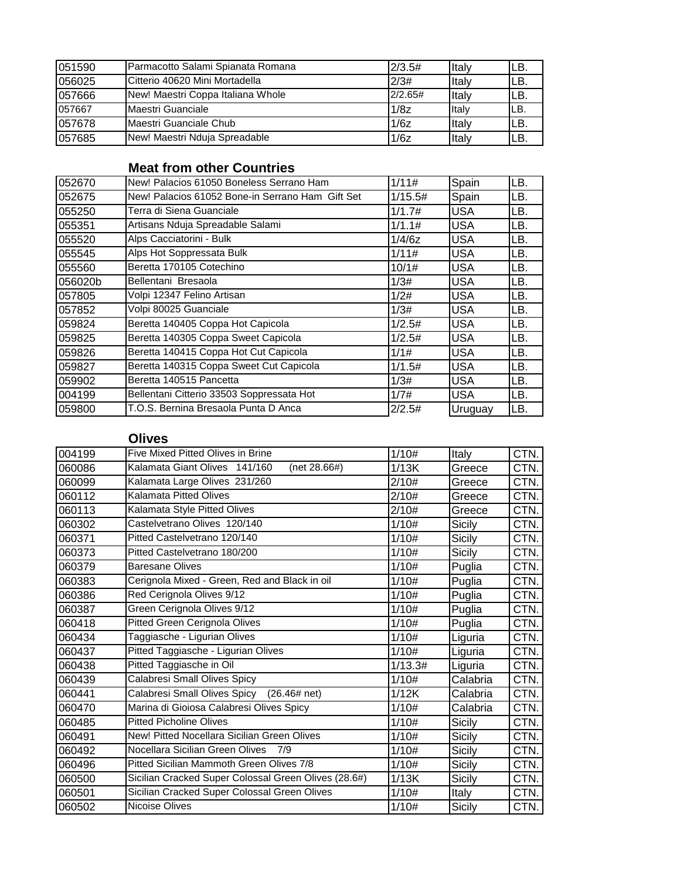| 051590 | Parmacotto Salami Spianata Romana      | 2/3.5#  | <b>Italv</b> | ILB. |
|--------|----------------------------------------|---------|--------------|------|
| 056025 | <b>ICitterio 40620 Mini Mortadella</b> | 2/3#    | <b>Italv</b> | ILB. |
| 057666 | New! Maestri Coppa Italiana Whole      | 2/2.65# | <b>Italv</b> | ILB. |
| 057667 | Maestri Guanciale                      | 1/8z    | Italy        | ILB. |
| 057678 | Maestri Guanciale Chub                 | 1/6z    | <b>Italv</b> | ILB. |
| 057685 | New! Maestri Nduja Spreadable          | 1/6z    | Italy        | ILB. |

## **Meat from other Countries**

| 052670  | New! Palacios 61050 Boneless Serrano Ham         | 1/11#   | Spain      | LB. |
|---------|--------------------------------------------------|---------|------------|-----|
| 052675  | New! Palacios 61052 Bone-in Serrano Ham Gift Set | 1/15.5# | Spain      | LB. |
| 055250  | Terra di Siena Guanciale                         | 1/1.7#  | <b>USA</b> | LB. |
| 055351  | Artisans Nduja Spreadable Salami                 | 1/1.1#  | USA        | LB. |
| 055520  | Alps Cacciatorini - Bulk                         | 1/4/6z  | <b>USA</b> | LB. |
| 055545  | Alps Hot Soppressata Bulk                        | 1/11#   | <b>USA</b> | LB. |
| 055560  | Beretta 170105 Cotechino                         | 10/1#   | <b>USA</b> | LB. |
| 056020b | Bellentani Bresaola                              | 1/3#    | <b>USA</b> | LB. |
| 057805  | Volpi 12347 Felino Artisan                       | 1/2#    | <b>USA</b> | LB. |
| 057852  | Volpi 80025 Guanciale                            | 1/3#    | <b>USA</b> | LB. |
| 059824  | Beretta 140405 Coppa Hot Capicola                | 1/2.5#  | <b>USA</b> | LB. |
| 059825  | Beretta 140305 Coppa Sweet Capicola              | 1/2.5#  | <b>USA</b> | LB. |
| 059826  | Beretta 140415 Coppa Hot Cut Capicola            | 1/1#    | USA        | LB. |
| 059827  | Beretta 140315 Coppa Sweet Cut Capicola          | 1/1.5#  | <b>USA</b> | LB. |
| 059902  | Beretta 140515 Pancetta                          | 1/3#    | USA        | LB. |
| 004199  | Bellentani Citterio 33503 Soppressata Hot        | 1/7#    | <b>USA</b> | LB. |
| 059800  | T.O.S. Bernina Bresaola Punta D Anca             | 2/2.5#  | Uruguay    | LB. |

### **Olives**

| 004199 | Five Mixed Pitted Olives in Brine                    | 1/10#   | Italy         | CTN. |
|--------|------------------------------------------------------|---------|---------------|------|
| 060086 | Kalamata Giant Olives 141/160<br>(net 28.66#)        | 1/13K   | Greece        | CTN. |
| 060099 | Kalamata Large Olives 231/260                        | 2/10#   | Greece        | CTN. |
| 060112 | <b>Kalamata Pitted Olives</b>                        | 2/10#   | Greece        | CTN. |
| 060113 | Kalamata Style Pitted Olives                         | 2/10#   | Greece        | CTN. |
| 060302 | Castelvetrano Olives 120/140                         | 1/10#   | Sicily        | CTN. |
| 060371 | Pitted Castelvetrano 120/140                         | 1/10#   | Sicily        | CTN. |
| 060373 | Pitted Castelvetrano 180/200                         | 1/10#   | Sicily        | CTN. |
| 060379 | <b>Baresane Olives</b>                               | 1/10#   | Puglia        | CTN. |
| 060383 | Cerignola Mixed - Green, Red and Black in oil        | 1/10#   | Puglia        | CTN. |
| 060386 | Red Cerignola Olives 9/12                            | 1/10#   | Puglia        | CTN. |
| 060387 | Green Cerignola Olives 9/12                          | 1/10#   | Puglia        | CTN. |
| 060418 | Pitted Green Cerignola Olives                        | 1/10#   | Puglia        | CTN. |
| 060434 | Taggiasche - Ligurian Olives                         | 1/10#   | Liguria       | CTN. |
| 060437 | Pitted Taggiasche - Ligurian Olives                  | 1/10#   | Liguria       | CTN. |
| 060438 | Pitted Taggiasche in Oil                             | 1/13.3# | Liguria       | CTN. |
| 060439 | Calabresi Small Olives Spicy                         | 1/10#   | Calabria      | CTN. |
| 060441 | Calabresi Small Olives Spicy<br>$(26.46#$ net)       | 1/12K   | Calabria      | CTN. |
| 060470 | Marina di Gioiosa Calabresi Olives Spicy             | 1/10#   | Calabria      | CTN. |
| 060485 | <b>Pitted Picholine Olives</b>                       | 1/10#   | Sicilv        | CTN. |
| 060491 | New! Pitted Nocellara Sicilian Green Olives          | 1/10#   | Sicily        | CTN. |
| 060492 | Nocellara Sicilian Green Olives<br>7/9               | 1/10#   | <b>Sicily</b> | CTN. |
| 060496 | Pitted Sicilian Mammoth Green Olives 7/8             | 1/10#   | Sicily        | CTN. |
| 060500 | Sicilian Cracked Super Colossal Green Olives (28.6#) | 1/13K   | Sicily        | CTN. |
| 060501 | Sicilian Cracked Super Colossal Green Olives         | 1/10#   | Italy         | CTN. |
| 060502 | <b>Nicoise Olives</b>                                | 1/10#   | Sicily        | CTN. |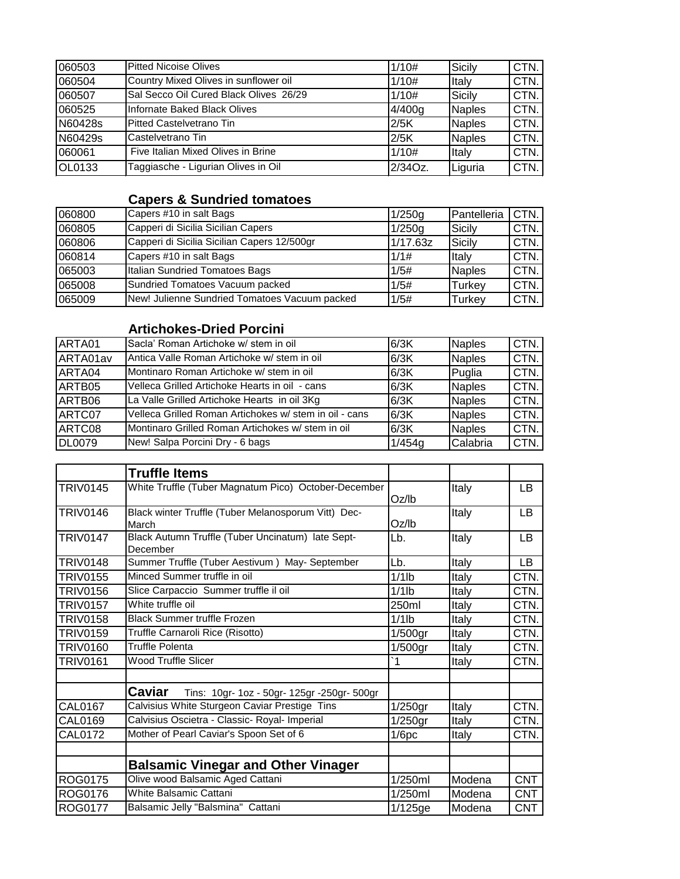| 060503        | <b>Pitted Nicoise Olives</b>           | 1/10#   | Sicily        | CTN. |
|---------------|----------------------------------------|---------|---------------|------|
| 060504        | Country Mixed Olives in sunflower oil  | 1/10#   | Italy         | CTN. |
| 060507        | Sal Secco Oil Cured Black Olives 26/29 | 1/10#   | Sicily        | CTN. |
| 060525        | Infornate Baked Black Olives           | 4/400q  | <b>Naples</b> | CTN. |
| N60428s       | <b>Pitted Castelvetrano Tin</b>        | 2/5K    | <b>Naples</b> | CTN. |
| N60429s       | Castelvetrano Tin                      | 2/5K    | <b>Naples</b> | CTN. |
| 060061        | Five Italian Mixed Olives in Brine     | 1/10#   | Italy         | CTN. |
| <b>OL0133</b> | Taggiasche - Ligurian Olives in Oil    | 2/34Oz. | Liguria       | CTN. |

# **Capers & Sundried tomatoes**

| 060800 | Capers #10 in salt Bags                       | 1/250g   | Pantelleria   | CTN. |
|--------|-----------------------------------------------|----------|---------------|------|
| 060805 | Capperi di Sicilia Sicilian Capers            | 1/250g   | Sicily        | CTN. |
| 060806 | Capperi di Sicilia Sicilian Capers 12/500gr   | 1/17.63z | Sicily        | CTN. |
| 060814 | Capers #10 in salt Bags                       | 1/1#     | Italy         | CTN. |
| 065003 | Italian Sundried Tomatoes Bags                | 1/5#     | <b>Naples</b> | CTN. |
| 065008 | Sundried Tomatoes Vacuum packed               | 1/5#     | Turkev        | CTN. |
| 065009 | New! Julienne Sundried Tomatoes Vacuum packed | 1/5#     | Turkey        | CTN. |

## **Artichokes-Dried Porcini**

| ARTA01        | <b>I</b> Sacla' Roman Artichoke w/ stem in oil         | 6/3K   | <b>Naples</b> | CTN. |
|---------------|--------------------------------------------------------|--------|---------------|------|
| ARTA01av      | Antica Valle Roman Artichoke w/ stem in oil            | 6/3K   | <b>Naples</b> | CTN. |
| ARTA04        | Montinaro Roman Artichoke w/ stem in oil               | 6/3K   | Puglia        | CTN. |
| ARTB05        | Velleca Grilled Artichoke Hearts in oil - cans         | 6/3K   | <b>Naples</b> | CTN. |
| ARTB06        | La Valle Grilled Artichoke Hearts in oil 3Kg           | 6/3K   | Naples        | CTN. |
| ARTC07        | Velleca Grilled Roman Artichokes w/ stem in oil - cans | 6/3K   | <b>Naples</b> | CTN. |
| ARTC08        | Montinaro Grilled Roman Artichokes w/ stem in oil      | 6/3K   | <b>Naples</b> | CTN. |
| <b>DL0079</b> | New! Salpa Porcini Dry - 6 bags                        | 1/454g | Calabria      | CTN. |

|                 | <b>Truffle Items</b>                                          |            |        |            |
|-----------------|---------------------------------------------------------------|------------|--------|------------|
| <b>TRIV0145</b> | White Truffle (Tuber Magnatum Pico) October-December          | Oz/lb      | Italy  | LB         |
| <b>TRIV0146</b> | Black winter Truffle (Tuber Melanosporum Vitt) Dec-<br>March  | Oz/h       | Italy  | LB         |
| <b>TRIV0147</b> | Black Autumn Truffle (Tuber Uncinatum) late Sept-<br>December | Lb.        | Italy  | LB         |
| <b>TRIV0148</b> | Summer Truffle (Tuber Aestivum) May- September                | Lb.        | Italy  | LB.        |
| <b>TRIV0155</b> | Minced Summer truffle in oil                                  | $1/1$ lb   | Italy  | CTN.       |
| <b>TRIV0156</b> | Slice Carpaccio Summer truffle il oil                         | $1/1$ lb   | Italy  | CTN.       |
| <b>TRIV0157</b> | White truffle oil                                             | 250ml      | Italy  | CTN.       |
| <b>TRIV0158</b> | <b>Black Summer truffle Frozen</b>                            | $1/1$ lb   | Italy  | CTN.       |
| <b>TRIV0159</b> | Truffle Carnaroli Rice (Risotto)                              | 1/500gr    | Italy  | CTN.       |
| <b>TRIV0160</b> | <b>Truffle Polenta</b>                                        | 1/500gr    | Italy  | CTN.       |
| <b>TRIV0161</b> | Wood Truffle Slicer                                           | `1         | Italy  | CTN.       |
|                 | <b>Caviar</b><br>Tins: 10gr- 1oz - 50gr- 125gr -250gr- 500gr  |            |        |            |
| <b>CAL0167</b>  | Calvisius White Sturgeon Caviar Prestige Tins                 | $1/250$ gr | Italy  | CTN.       |
| CAL0169         | Calvisius Oscietra - Classic- Royal- Imperial                 | $1/250$ gr | Italy  | CTN.       |
| <b>CAL0172</b>  | Mother of Pearl Caviar's Spoon Set of 6                       | 1/6pc      | Italy  | CTN.       |
|                 | <b>Balsamic Vinegar and Other Vinager</b>                     |            |        |            |
| ROG0175         | Olive wood Balsamic Aged Cattani                              | 1/250ml    | Modena | <b>CNT</b> |
| <b>ROG0176</b>  | White Balsamic Cattani                                        | 1/250ml    | Modena | <b>CNT</b> |
| <b>ROG0177</b>  | Balsamic Jelly "Balsmina" Cattani                             | 1/125ge    | Modena | <b>CNT</b> |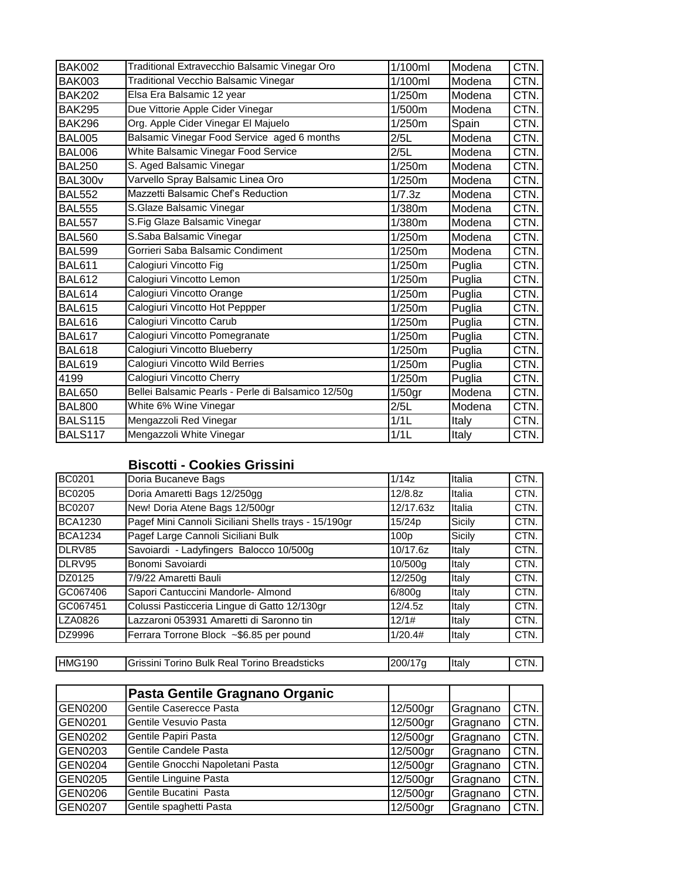| <b>BAK002</b>  | Traditional Extravecchio Balsamic Vinegar Oro      | 1/100ml   | Modena | CTN. |
|----------------|----------------------------------------------------|-----------|--------|------|
| <b>BAK003</b>  | Traditional Vecchio Balsamic Vinegar               | 1/100ml   | Modena | CTN. |
| <b>BAK202</b>  | Elsa Era Balsamic 12 year                          | 1/250m    | Modena | CTN. |
| <b>BAK295</b>  | Due Vittorie Apple Cider Vinegar                   | 1/500m    | Modena | CTN. |
| <b>BAK296</b>  | Org. Apple Cider Vinegar El Majuelo                | 1/250m    | Spain  | CTN. |
| <b>BAL005</b>  | Balsamic Vinegar Food Service aged 6 months        | 2/5L      | Modena | CTN. |
| <b>BAL006</b>  | White Balsamic Vinegar Food Service                | 2/5L      | Modena | CTN. |
| <b>BAL250</b>  | S. Aged Balsamic Vinegar                           | 1/250m    | Modena | CTN. |
| <b>BAL300v</b> | Varvello Spray Balsamic Linea Oro                  | 1/250m    | Modena | CTN. |
| <b>BAL552</b>  | Mazzetti Balsamic Chef's Reduction                 | 1/7.3z    | Modena | CTN. |
| <b>BAL555</b>  | S.Glaze Balsamic Vinegar                           | 1/380m    | Modena | CTN. |
| <b>BAL557</b>  | S.Fig Glaze Balsamic Vinegar                       | 1/380m    | Modena | CTN. |
| <b>BAL560</b>  | S.Saba Balsamic Vinegar                            | 1/250m    | Modena | CTN. |
| <b>BAL599</b>  | Gorrieri Saba Balsamic Condiment                   | 1/250m    | Modena | CTN. |
| <b>BAL611</b>  | Calogiuri Vincotto Fig                             | 1/250m    | Puglia | CTN. |
| <b>BAL612</b>  | Calogiuri Vincotto Lemon                           | 1/250m    | Puglia | CTN. |
| <b>BAL614</b>  | Calogiuri Vincotto Orange                          | 1/250m    | Puglia | CTN. |
| <b>BAL615</b>  | Calogiuri Vincotto Hot Peppper                     | 1/250m    | Puglia | CTN. |
| <b>BAL616</b>  | Calogiuri Vincotto Carub                           | 1/250m    | Puglia | CTN. |
| <b>BAL617</b>  | Calogiuri Vincotto Pomegranate                     | 1/250m    | Puglia | CTN. |
| <b>BAL618</b>  | Calogiuri Vincotto Blueberry                       | 1/250m    | Puglia | CTN. |
| <b>BAL619</b>  | Calogiuri Vincotto Wild Berries                    | 1/250m    | Puglia | CTN. |
| 4199           | Calogiuri Vincotto Cherry                          | 1/250m    | Puglia | CTN. |
| <b>BAL650</b>  | Bellei Balsamic Pearls - Perle di Balsamico 12/50g | $1/50$ gr | Modena | CTN. |
| <b>BAL800</b>  | White 6% Wine Vinegar                              | 2/5L      | Modena | CTN. |
| <b>BALS115</b> | Mengazzoli Red Vinegar                             | 1/1L      | Italy  | CTN. |
| <b>BALS117</b> | Mengazzoli White Vinegar                           | 1/1L      | Italy  | CTN. |

## **Biscotti - Cookies Grissini**

| BC0201         | Doria Bucaneve Bags                                  | 1/14z            | Italia | CTN. |
|----------------|------------------------------------------------------|------------------|--------|------|
| <b>BC0205</b>  | Doria Amaretti Bags 12/250gg                         | 12/8.8z          | Italia | CTN. |
| <b>BC0207</b>  | New! Doria Atene Bags 12/500gr                       | 12/17.63z        | Italia | CTN. |
| <b>BCA1230</b> | Pagef Mini Cannoli Siciliani Shells trays - 15/190gr | 15/24p           | Sicily | CTN. |
| <b>BCA1234</b> | Pagef Large Cannoli Siciliani Bulk                   | 100 <sub>D</sub> | Sicily | CTN. |
| DLRV85         | Savoiardi - Ladyfingers Balocco 10/500g              | 10/17.6z         | Italy  | CTN. |
| DLRV95         | Bonomi Savoiardi                                     | 10/500g          | Italy  | CTN. |
| DZ0125         | 7/9/22 Amaretti Bauli                                | 12/250g          | Italy  | CTN. |
| GC067406       | Sapori Cantuccini Mandorle- Almond                   | 6/800g           | Italy  | CTN. |
| GC067451       | Colussi Pasticceria Lingue di Gatto 12/130gr         | 12/4.5z          | Italy  | CTN. |
| LZA0826        | Lazzaroni 053931 Amaretti di Saronno tin             | 12/1#            | Italy  | CTN. |
| DZ9996         | Ferrara Torrone Block ~\$6.85 per pound              | 1/20.4#          | Italy  | CTN. |
|                |                                                      |                  |        |      |

HMG190 Grissini Torino Bulk Real Torino Breadsticks 200/17g | Italy | CTN.

|                | Pasta Gentile Gragnano Organic   |          |          |      |
|----------------|----------------------------------|----------|----------|------|
| <b>GEN0200</b> | Gentile Caserecce Pasta          | 12/500gr | Gragnano | CTN. |
| GEN0201        | Gentile Vesuvio Pasta            | 12/500gr | Gragnano | CTN. |
| <b>GEN0202</b> | Gentile Papiri Pasta             | 12/500gr | Gragnano | CTN. |
| GEN0203        | Gentile Candele Pasta            | 12/500gr | Gragnano | CTN. |
| <b>GEN0204</b> | Gentile Gnocchi Napoletani Pasta | 12/500gr | Gragnano | CTN. |
| GEN0205        | Gentile Linguine Pasta           | 12/500gr | Gragnano | CTN. |
| <b>GEN0206</b> | Gentile Bucatini Pasta           | 12/500gr | Gragnano | CTN. |
| <b>GEN0207</b> | Gentile spaghetti Pasta          | 12/500gr | Gragnano | CTN. |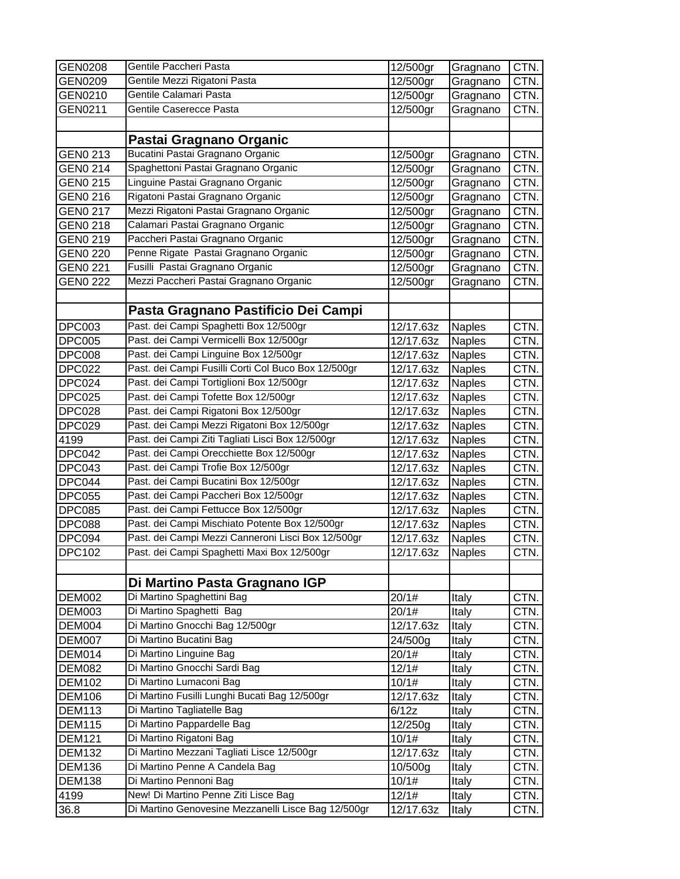| <b>GEN0208</b>                 | Gentile Paccheri Pasta                                                                       | 12/500gr               | Gragnano      | CTN.         |
|--------------------------------|----------------------------------------------------------------------------------------------|------------------------|---------------|--------------|
| GEN0209                        | Gentile Mezzi Rigatoni Pasta                                                                 | 12/500gr               | Gragnano      | CTN.         |
| GEN0210                        | Gentile Calamari Pasta                                                                       | 12/500gr               | Gragnano      | CTN.         |
| GEN0211                        | Gentile Caserecce Pasta                                                                      | 12/500gr               | Gragnano      | CTN.         |
|                                |                                                                                              |                        |               |              |
|                                | Pastai Gragnano Organic                                                                      |                        |               |              |
| GEN0 213                       | Bucatini Pastai Gragnano Organic                                                             | 12/500gr               | Gragnano      | CTN.         |
| GEN0 214                       | Spaghettoni Pastai Gragnano Organic                                                          | 12/500gr               | Gragnano      | CTN.         |
| <b>GEN0 215</b>                | Linguine Pastai Gragnano Organic                                                             | 12/500gr               | Gragnano      | CTN.         |
| <b>GEN0 216</b>                | Rigatoni Pastai Gragnano Organic                                                             | 12/500gr               | Gragnano      | CTN.         |
| <b>GEN0 217</b>                | Mezzi Rigatoni Pastai Gragnano Organic                                                       | 12/500gr               | Gragnano      | CTN.         |
| <b>GEN0 218</b>                | Calamari Pastai Gragnano Organic                                                             | 12/500gr               | Gragnano      | CTN.         |
| <b>GEN0 219</b>                | Paccheri Pastai Gragnano Organic                                                             | 12/500gr               | Gragnano      | CTN.         |
| <b>GEN0 220</b>                | Penne Rigate Pastai Gragnano Organic                                                         | 12/500gr               | Gragnano      | CTN.         |
| <b>GEN0 221</b>                | Fusilli Pastai Gragnano Organic                                                              | 12/500gr               | Gragnano      | CTN.         |
| <b>GEN0 222</b>                | Mezzi Paccheri Pastai Gragnano Organic                                                       | 12/500gr               | Gragnano      | CTN.         |
|                                |                                                                                              |                        |               |              |
|                                | Pasta Gragnano Pastificio Dei Campi                                                          |                        |               |              |
|                                | Past. dei Campi Spaghetti Box 12/500gr                                                       | 12/17.63z              |               |              |
| <b>DPC003</b>                  | Past. dei Campi Vermicelli Box 12/500gr                                                      |                        | <b>Naples</b> | CTN.         |
| DPC005                         | Past. dei Campi Linguine Box 12/500gr                                                        | 12/17.63z              | <b>Naples</b> | CTN.         |
| <b>DPC008</b><br><b>DPC022</b> | Past. dei Campi Fusilli Corti Col Buco Box 12/500gr                                          | 12/17.63z              | <b>Naples</b> | CTN.         |
|                                | Past. dei Campi Tortiglioni Box 12/500gr                                                     | 12/17.63z<br>12/17.63z | <b>Naples</b> | CTN.         |
| DPC024                         | Past. dei Campi Tofette Box 12/500gr                                                         |                        | <b>Naples</b> | CTN.<br>CTN. |
| <b>DPC025</b>                  | Past. dei Campi Rigatoni Box 12/500gr                                                        | 12/17.63z              | <b>Naples</b> |              |
| <b>DPC028</b>                  | Past. dei Campi Mezzi Rigatoni Box 12/500gr                                                  | 12/17.63z              | <b>Naples</b> | CTN.         |
| <b>DPC029</b>                  |                                                                                              | 12/17.63z              | <b>Naples</b> | CTN.         |
| 4199                           | Past. dei Campi Ziti Tagliati Lisci Box 12/500gr<br>Past. dei Campi Orecchiette Box 12/500gr | 12/17.63z              | <b>Naples</b> | CTN.         |
| DPC042                         | Past. dei Campi Trofie Box 12/500gr                                                          | 12/17.63z              | <b>Naples</b> | CTN.         |
| DPC043                         | Past. dei Campi Bucatini Box 12/500gr                                                        | 12/17.63z              | Naples        | CTN.         |
| DPC044                         | Past. dei Campi Paccheri Box 12/500gr                                                        | 12/17.63z              | <b>Naples</b> | CTN.         |
| <b>DPC055</b>                  | Past. dei Campi Fettucce Box 12/500gr                                                        | 12/17.63z              | <b>Naples</b> | CTN.         |
| <b>DPC085</b>                  | Past. dei Campi Mischiato Potente Box 12/500gr                                               | 12/17.63z              | <b>Naples</b> | CTN.         |
| <b>DPC088</b>                  | Past. dei Campi Mezzi Canneroni Lisci Box 12/500gr                                           | 12/17.63z              | <b>Naples</b> | CTN.         |
| DPC094                         |                                                                                              | 12/17.63z              | <b>Naples</b> | CTN.         |
| <b>DPC102</b>                  | Past. dei Campi Spaghetti Maxi Box 12/500gr                                                  | 12/17.63z              | <b>Naples</b> | CTN.         |
|                                |                                                                                              |                        |               |              |
|                                | Di Martino Pasta Gragnano IGP                                                                |                        |               |              |
| <b>DEM002</b>                  | Di Martino Spaghettini Bag                                                                   | 20/1#                  | Italy         | CTN.         |
| <b>DEM003</b>                  | Di Martino Spaghetti Bag                                                                     | 20/1#                  | Italy         | CTN.         |
| DEM004                         | Di Martino Gnocchi Bag 12/500gr                                                              | 12/17.63z              | Italy         | CTN.         |
| DEM007                         | Di Martino Bucatini Bag                                                                      | 24/500g                | Italy         | CTN.         |
| DEM014                         | Di Martino Linguine Bag                                                                      | 20/1#                  | Italy         | CTN.         |
| <b>DEM082</b>                  | Di Martino Gnocchi Sardi Bag                                                                 | 12/1#                  | Italy         | CTN.         |
| <b>DEM102</b>                  | Di Martino Lumaconi Bag                                                                      | 10/1#                  | Italy         | CTN.         |
| <b>DEM106</b>                  | Di Martino Fusilli Lunghi Bucati Bag 12/500gr                                                | 12/17.63z              | Italy         | CTN.         |
| <b>DEM113</b>                  | Di Martino Tagliatelle Bag                                                                   | 6/12z                  | Italy         | CTN.         |
| <b>DEM115</b>                  | Di Martino Pappardelle Bag                                                                   | 12/250g                | Italy         | CTN.         |
| <b>DEM121</b>                  | Di Martino Rigatoni Bag                                                                      | 10/1#                  | Italy         | CTN.         |
| <b>DEM132</b>                  | Di Martino Mezzani Tagliati Lisce 12/500gr                                                   | 12/17.63z              | Italy         | CTN.         |
| <b>DEM136</b>                  | Di Martino Penne A Candela Bag                                                               | 10/500g                | Italy         | CTN.         |
| <b>DEM138</b>                  | Di Martino Pennoni Bag                                                                       | 10/1#                  | Italy         | CTN.         |
| 4199                           | New! Di Martino Penne Ziti Lisce Bag                                                         | 12/1#                  | Italy         | CTN.         |
| 36.8                           | Di Martino Genovesine Mezzanelli Lisce Bag 12/500gr                                          | 12/17.63z              | Italy         | CTN.         |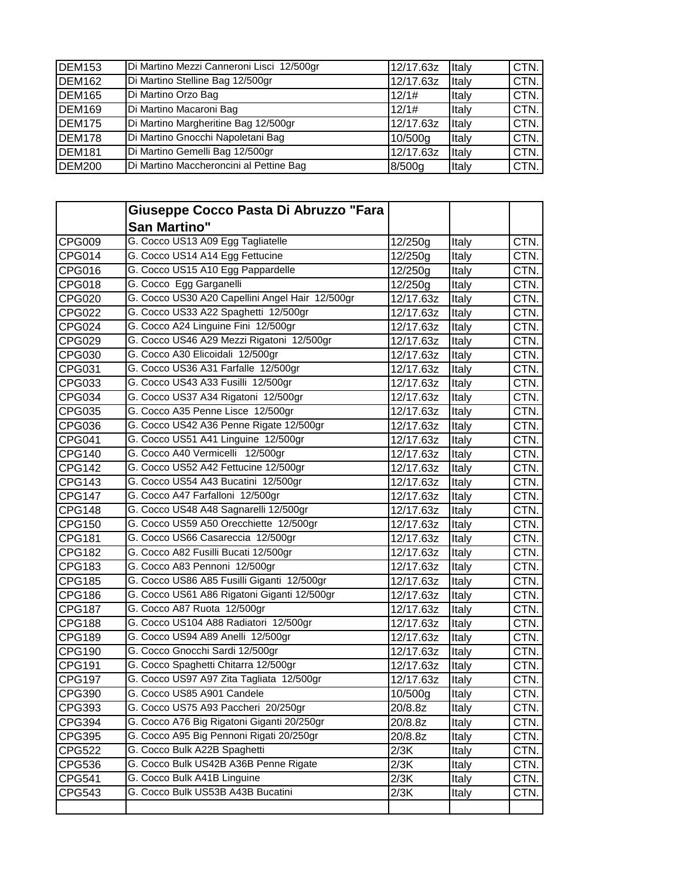| <b>DEM153</b> | Di Martino Mezzi Canneroni Lisci 12/500gr | 12/17.63z | Italy | CTN. |
|---------------|-------------------------------------------|-----------|-------|------|
| <b>DEM162</b> | Di Martino Stelline Bag 12/500gr          | 12/17.63z | Italy | CTN. |
| <b>DEM165</b> | Di Martino Orzo Bag                       | 12/1#     | Italy | CTN. |
| <b>DEM169</b> | Di Martino Macaroni Bag                   | 12/1#     | Italy | CTN. |
| <b>DEM175</b> | Di Martino Margheritine Bag 12/500gr      | 12/17.63z | Italy | CTN. |
| <b>DEM178</b> | Di Martino Gnocchi Napoletani Bag         | 10/500g   | Italy | CTN. |
| <b>DEM181</b> | Di Martino Gemelli Bag 12/500gr           | 12/17.63z | Italy | CTN. |
| <b>DEM200</b> | Di Martino Maccheroncini al Pettine Bag   | 8/500q    | Italv | CTN. |

|               | Giuseppe Cocco Pasta Di Abruzzo "Fara           |           |              |      |
|---------------|-------------------------------------------------|-----------|--------------|------|
|               | <b>San Martino"</b>                             |           |              |      |
| <b>CPG009</b> | G. Cocco US13 A09 Egg Tagliatelle               | 12/250g   | Italy        | CTN. |
| CPG014        | G. Cocco US14 A14 Egg Fettucine                 | 12/250g   | Italy        | CTN. |
| CPG016        | G. Cocco US15 A10 Egg Pappardelle               | 12/250g   | Italy        | CTN. |
| CPG018        | G. Cocco Egg Garganelli                         | 12/250g   | Italy        | CTN. |
| CPG020        | G. Cocco US30 A20 Capellini Angel Hair 12/500gr | 12/17.63z | Italy        | CTN. |
| CPG022        | G. Cocco US33 A22 Spaghetti 12/500gr            | 12/17.63z | Italy        | CTN. |
| CPG024        | G. Cocco A24 Linguine Fini 12/500gr             | 12/17.63z | Italy        | CTN. |
| CPG029        | G. Cocco US46 A29 Mezzi Rigatoni 12/500gr       | 12/17.63z | Italy        | CTN. |
| CPG030        | G. Cocco A30 Elicoidali 12/500gr                | 12/17.63z | Italy        | CTN. |
| CPG031        | G. Cocco US36 A31 Farfalle 12/500gr             | 12/17.63z | Italy        | CTN. |
| CPG033        | G. Cocco US43 A33 Fusilli 12/500gr              | 12/17.63z | Italy        | CTN. |
| CPG034        | G. Cocco US37 A34 Rigatoni 12/500gr             | 12/17.63z | Italy        | CTN. |
| CPG035        | G. Cocco A35 Penne Lisce 12/500gr               | 12/17.63z | Italy        | CTN. |
| CPG036        | G. Cocco US42 A36 Penne Rigate 12/500gr         | 12/17.63z | Italy        | CTN. |
| CPG041        | G. Cocco US51 A41 Linguine 12/500gr             | 12/17.63z | Italy        | CTN. |
| <b>CPG140</b> | G. Cocco A40 Vermicelli 12/500gr                | 12/17.63z | <b>Italy</b> | CTN. |
| <b>CPG142</b> | G. Cocco US52 A42 Fettucine 12/500gr            | 12/17.63z | Italy        | CTN. |
| CPG143        | G. Cocco US54 A43 Bucatini 12/500gr             | 12/17.63z | <b>Italy</b> | CTN. |
| CPG147        | G. Cocco A47 Farfalloni 12/500gr                | 12/17.63z | Italy        | CTN. |
| <b>CPG148</b> | G. Cocco US48 A48 Sagnarelli 12/500gr           | 12/17.63z | Italy        | CTN. |
| CPG150        | G. Cocco US59 A50 Orecchiette 12/500gr          | 12/17.63z | Italy        | CTN. |
| CPG181        | G. Cocco US66 Casareccia 12/500gr               | 12/17.63z | Italy        | CTN. |
| CPG182        | G. Cocco A82 Fusilli Bucati 12/500gr            | 12/17.63z | Italy        | CTN. |
| CPG183        | G. Cocco A83 Pennoni 12/500gr                   | 12/17.63z | Italy        | CTN. |
| <b>CPG185</b> | G. Cocco US86 A85 Fusilli Giganti 12/500gr      | 12/17.63z | Italy        | CTN. |
| CPG186        | G. Cocco US61 A86 Rigatoni Giganti 12/500gr     | 12/17.63z | Italy        | CTN. |
| CPG187        | G. Cocco A87 Ruota 12/500gr                     | 12/17.63z | Italy        | CTN. |
| CPG188        | G. Cocco US104 A88 Radiatori 12/500gr           | 12/17.63z | Italy        | CTN. |
| CPG189        | G. Cocco US94 A89 Anelli 12/500gr               | 12/17.63z | Italy        | CTN. |
| CPG190        | G. Cocco Gnocchi Sardi 12/500gr                 | 12/17.63z | Italy        | CTN. |
| CPG191        | G. Cocco Spaghetti Chitarra 12/500gr            | 12/17.63z | Italy        | CTN. |
| CPG197        | G. Cocco US97 A97 Zita Tagliata 12/500gr        | 12/17.63z | Italy        | CTN. |
| CPG390        | G. Cocco US85 A901 Candele                      | 10/500g   | Italy        | CTN. |
| CPG393        | G. Cocco US75 A93 Paccheri 20/250gr             | 20/8.8z   | Italy        | CTN. |
| CPG394        | G. Cocco A76 Big Rigatoni Giganti 20/250gr      | 20/8.8z   | Italy        | CTN. |
| CPG395        | G. Cocco A95 Big Pennoni Rigati 20/250gr        | 20/8.8z   | Italy        | CTN. |
| CPG522        | G. Cocco Bulk A22B Spaghetti                    | 2/3K      | Italy        | CTN. |
| CPG536        | G. Cocco Bulk US42B A36B Penne Rigate           | 2/3K      | Italy        | CTN. |
| CPG541        | G. Cocco Bulk A41B Linguine                     | 2/3K      | Italy        | CTN. |
| CPG543        | G. Cocco Bulk US53B A43B Bucatini               | 2/3K      | Italy        | CTN. |
|               |                                                 |           |              |      |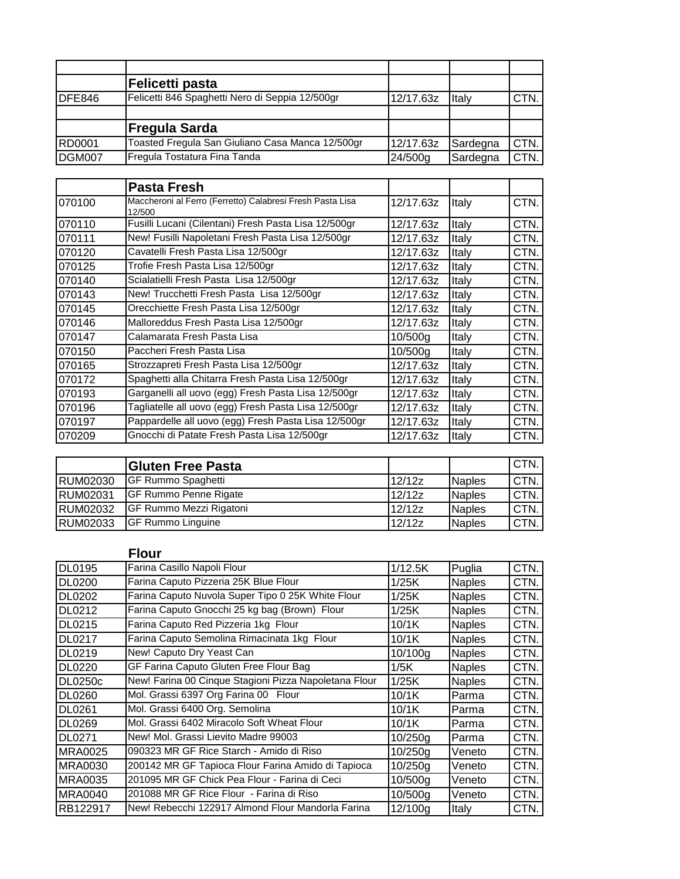|               | Felicetti pasta                                  |           |          |      |
|---------------|--------------------------------------------------|-----------|----------|------|
| DFE846        | Felicetti 846 Spaghetti Nero di Seppia 12/500gr  | 12/17.63z | Italy    | CTN. |
|               |                                                  |           |          |      |
|               | <b>Fregula Sarda</b>                             |           |          |      |
| <b>RD0001</b> | Toasted Fregula San Giuliano Casa Manca 12/500gr | 12/17.63z | Sardegna | CTN. |
| <b>DGM007</b> | Fregula Tostatura Fina Tanda                     | 24/500g   | Sardegna | CTN. |

|        | <b>Pasta Fresh</b>                                                  |                     |       |      |
|--------|---------------------------------------------------------------------|---------------------|-------|------|
| 070100 | Maccheroni al Ferro (Ferretto) Calabresi Fresh Pasta Lisa<br>12/500 | 12/17.63z           | Italy | CTN. |
| 070110 | Fusilli Lucani (Cilentani) Fresh Pasta Lisa 12/500gr                | 12/17.63z           | Italy | CTN. |
| 070111 | New! Fusilli Napoletani Fresh Pasta Lisa 12/500gr                   | 12/17.63z           | Italv | CTN. |
| 070120 | Cavatelli Fresh Pasta Lisa 12/500gr                                 | 12/17.63z           | Italy | CTN. |
| 070125 | Trofie Fresh Pasta Lisa 12/500gr                                    | 12/17.63z           | Italy | CTN. |
| 070140 | Scialatielli Fresh Pasta Lisa 12/500gr                              | 12/17.63z           | Italy | CTN. |
| 070143 | New! Trucchetti Fresh Pasta Lisa 12/500gr                           | 12/17.63z           | Italy | CTN. |
| 070145 | Orecchiette Fresh Pasta Lisa 12/500gr                               | 12/17.63z           | Italy | CTN. |
| 070146 | Malloreddus Fresh Pasta Lisa 12/500gr                               | 12/17.63z           | Italy | CTN. |
| 070147 | Calamarata Fresh Pasta Lisa                                         | 10/500 <sub>q</sub> | Italy | CTN. |
| 070150 | Paccheri Fresh Pasta Lisa                                           | 10/500 <sub>q</sub> | Italy | CTN. |
| 070165 | Strozzapreti Fresh Pasta Lisa 12/500gr                              | 12/17.63z           | Italy | CTN. |
| 070172 | Spaghetti alla Chitarra Fresh Pasta Lisa 12/500gr                   | 12/17.63z           | Italy | CTN. |
| 070193 | Garganelli all uovo (egg) Fresh Pasta Lisa 12/500gr                 | 12/17.63z           | Italy | CTN. |
| 070196 | Tagliatelle all uovo (egg) Fresh Pasta Lisa 12/500gr                | 12/17.63z           | Italy | CTN. |
| 070197 | Pappardelle all uovo (egg) Fresh Pasta Lisa 12/500gr                | 12/17.63z           | Italy | CTN. |
| 070209 | Gnocchi di Patate Fresh Pasta Lisa 12/500gr                         | 12/17.63z           | Italy | CTN. |

|                 | <b>Gluten Free Pasta</b>        |        |               | <b>ICTN.</b> |
|-----------------|---------------------------------|--------|---------------|--------------|
| <b>RUM02030</b> | <b>IGF Rummo Spaghetti</b>      | 12/12z | <b>Naples</b> | <b>ICTN.</b> |
| <b>RUM02031</b> | <b>IGF Rummo Penne Rigate</b>   | 12/12z | <b>Naples</b> | CTN.         |
| <b>RUM02032</b> | <b>IGF Rummo Mezzi Rigatoni</b> | 12/12z | <b>Naples</b> | CTN.         |
| <b>RUM02033</b> | <b>IGF Rummo Linguine</b>       | 12/12z | <b>Naples</b> | CTN.         |

### **Flour**

| <b>DL0195</b>  | Farina Casillo Napoli Flour                           | 1/12.5K | Puglia        | CTN. |
|----------------|-------------------------------------------------------|---------|---------------|------|
| <b>DL0200</b>  | Farina Caputo Pizzeria 25K Blue Flour                 | 1/25K   | <b>Naples</b> | CTN. |
| DL0202         | Farina Caputo Nuvola Super Tipo 0 25K White Flour     | 1/25K   | <b>Naples</b> | CTN. |
| DL0212         | Farina Caputo Gnocchi 25 kg bag (Brown) Flour         | 1/25K   | <b>Naples</b> | CTN. |
| DL0215         | Farina Caputo Red Pizzeria 1kg Flour                  | 10/1K   | <b>Naples</b> | CTN. |
| DL0217         | Farina Caputo Semolina Rimacinata 1kg Flour           | 10/1K   | <b>Naples</b> | CTN. |
| DL0219         | New! Caputo Dry Yeast Can                             | 10/100g | <b>Naples</b> | CTN. |
| DL0220         | GF Farina Caputo Gluten Free Flour Bag                | 1/5K    | <b>Naples</b> | CTN. |
| <b>DL0250c</b> | New! Farina 00 Cinque Stagioni Pizza Napoletana Flour | 1/25K   | <b>Naples</b> | CTN. |
| <b>DL0260</b>  | Mol. Grassi 6397 Org Farina 00 Flour                  | 10/1K   | Parma         | CTN. |
| DL0261         | Mol. Grassi 6400 Org. Semolina                        | 10/1K   | Parma         | CTN. |
| DL0269         | Mol. Grassi 6402 Miracolo Soft Wheat Flour            | 10/1K   | Parma         | CTN. |
| DL0271         | New! Mol. Grassi Lievito Madre 99003                  | 10/250g | Parma         | CTN. |
| <b>MRA0025</b> | 090323 MR GF Rice Starch - Amido di Riso              | 10/250g | Veneto        | CTN. |
| <b>MRA0030</b> | 200142 MR GF Tapioca Flour Farina Amido di Tapioca    | 10/250q | Veneto        | CTN. |
| <b>MRA0035</b> | 201095 MR GF Chick Pea Flour - Farina di Ceci         | 10/500q | Veneto        | CTN. |
| MRA0040        | 201088 MR GF Rice Flour - Farina di Riso              | 10/500g | Veneto        | CTN. |
| RB122917       | New! Rebecchi 122917 Almond Flour Mandorla Farina     | 12/100g | Italy         | CTN. |
|                |                                                       |         |               |      |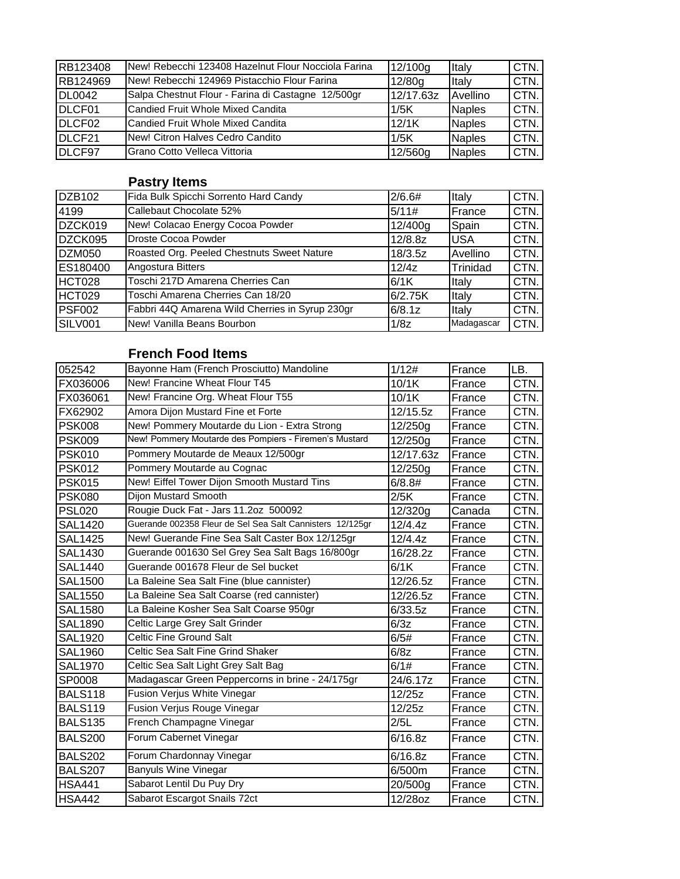| RB123408           | New! Rebecchi 123408 Hazelnut Flour Nocciola Farina | 12/100g   | Italy           | CTN. |
|--------------------|-----------------------------------------------------|-----------|-----------------|------|
| RB124969           | New! Rebecchi 124969 Pistacchio Flour Farina        | 12/80g    | Italy           | CTN. |
| IDL0042            | Salpa Chestnut Flour - Farina di Castagne 12/500gr  | 12/17.63z | <b>Avellino</b> | CTN. |
| DLCF01             | Candied Fruit Whole Mixed Candita                   | 1/5K      | <b>Naples</b>   | CTN. |
| DLCF02             | Candied Fruit Whole Mixed Candita                   | 12/1K     | <b>Naples</b>   | CTN. |
| DLCF <sub>21</sub> | New! Citron Halves Cedro Candito                    | 1/5K      | <b>Naples</b>   | CTN. |
| DLCF97             | Grano Cotto Velleca Vittoria                        | 12/560g   | <b>Naples</b>   | CTN. |

### **Pastry Items**

| DZB102        | Fida Bulk Spicchi Sorrento Hard Candy           | 2/6.6#  | Italy      | CTN. |
|---------------|-------------------------------------------------|---------|------------|------|
| 4199          | Callebaut Chocolate 52%                         | 5/11#   | France     | CTN. |
| DZCK019       | New! Colacao Energy Cocoa Powder                | 12/400g | Spain      | CTN. |
| DZCK095       | Droste Cocoa Powder                             | 12/8.8z | <b>USA</b> | CTN. |
| <b>DZM050</b> | Roasted Org. Peeled Chestnuts Sweet Nature      | 18/3.5z | Avellino   | CTN. |
| ES180400      | Angostura Bitters                               | 12/4z   | Trinidad   | CTN. |
| HCT028        | Toschi 217D Amarena Cherries Can                | 6/1K    | Italy      | CTN. |
| HCT029        | Toschi Amarena Cherries Can 18/20               | 6/2.75K | Italy      | CTN. |
| <b>PSF002</b> | Fabbri 44Q Amarena Wild Cherries in Syrup 230gr | 6/8.1z  | Italy      | CTN. |
| SILV001       | New! Vanilla Beans Bourbon                      | 1/8z    | Madagascar | CTN. |

### **French Food Items**

| Bayonne Ham (French Prosciutto) Mandoline                 | 1/12#                                                                                                 | France | LB.  |
|-----------------------------------------------------------|-------------------------------------------------------------------------------------------------------|--------|------|
| New! Francine Wheat Flour T45                             | 10/1K                                                                                                 | France | CTN. |
| New! Francine Org. Wheat Flour T55                        | 10/1K                                                                                                 | France | CTN. |
| Amora Dijon Mustard Fine et Forte                         | 12/15.5z                                                                                              | France | CTN. |
| New! Pommery Moutarde du Lion - Extra Strong              | 12/250g                                                                                               | France | CTN. |
|                                                           | 12/250g                                                                                               | France | CTN. |
| Pommery Moutarde de Meaux 12/500gr                        | 12/17.63z                                                                                             | France | CTN. |
| Pommery Moutarde au Cognac                                | 12/250g                                                                                               | France | CTN. |
|                                                           | 6/8.8#                                                                                                | France | CTN. |
| Dijon Mustard Smooth                                      | 2/5K                                                                                                  | France | CTN. |
| Rougie Duck Fat - Jars 11.2oz 500092                      | 12/320g                                                                                               | Canada | CTN. |
| Guerande 002358 Fleur de Sel Sea Salt Cannisters 12/125gr | 12/4.4z                                                                                               | France | CTN. |
| New! Guerande Fine Sea Salt Caster Box 12/125gr           | 12/4.4z                                                                                               | France | CTN. |
| Guerande 001630 Sel Grey Sea Salt Bags 16/800gr           | 16/28.2z                                                                                              | France | CTN. |
| Guerande 001678 Fleur de Sel bucket                       | 6/1K                                                                                                  | France | CTN. |
| La Baleine Sea Salt Fine (blue cannister)                 | 12/26.5z                                                                                              | France | CTN. |
| La Baleine Sea Salt Coarse (red cannister)                | 12/26.5z                                                                                              | France | CTN. |
| La Baleine Kosher Sea Salt Coarse 950gr                   | 6/33.5z                                                                                               | France | CTN. |
| Celtic Large Grey Salt Grinder                            | 6/3z                                                                                                  | France | CTN. |
| <b>Celtic Fine Ground Salt</b>                            | 6/5#                                                                                                  | France | CTN. |
| Celtic Sea Salt Fine Grind Shaker                         | 6/8z                                                                                                  | France | CTN. |
| Celtic Sea Salt Light Grey Salt Bag                       | 6/1#                                                                                                  | France | CTN. |
| Madagascar Green Peppercorns in brine - 24/175gr          | 24/6.17z                                                                                              | France | CTN. |
| Fusion Verjus White Vinegar                               | 12/25z                                                                                                | France | CTN. |
| Fusion Verjus Rouge Vinegar                               | 12/25z                                                                                                | France | CTN. |
| French Champagne Vinegar                                  | 2/5L                                                                                                  | France | CTN. |
| Forum Cabernet Vinegar                                    | 6/16.8z                                                                                               | France | CTN. |
| Forum Chardonnay Vinegar                                  | 6/16.8z                                                                                               | France | CTN. |
| <b>Banyuls Wine Vinegar</b>                               | 6/500m                                                                                                | France | CTN. |
| Sabarot Lentil Du Puy Dry                                 | 20/500g                                                                                               | France | CTN. |
| Sabarot Escargot Snails 72ct                              | 12/28oz                                                                                               | France | CTN. |
|                                                           | New! Pommery Moutarde des Pompiers - Firemen's Mustard<br>New! Eiffel Tower Dijon Smooth Mustard Tins |        |      |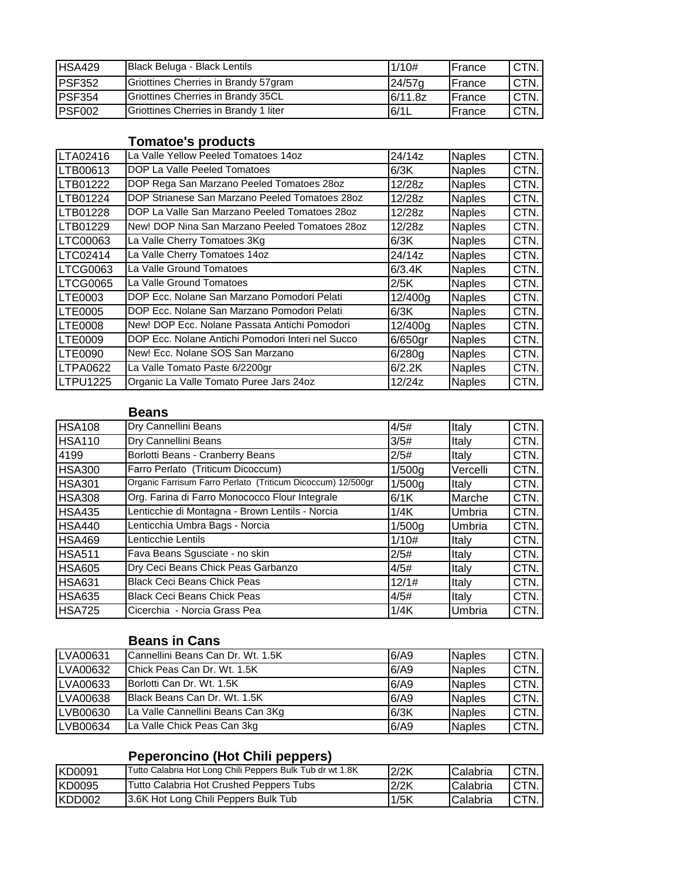| HSA429  | Black Beluga - Black Lentils          | 1/10#              | <b>France</b>  | 'CTN. |
|---------|---------------------------------------|--------------------|----------------|-------|
| IPSF352 | Griottines Cherries in Brandy 57gram  | 24/57 <sub>a</sub> | <b>IFrance</b> | 'CTN. |
| PSF354  | Griottines Cherries in Brandy 35CL    | 6/11.8z            | <b>IFrance</b> | 'CTN. |
| PSF002  | Griottines Cherries in Brandy 1 liter | 6/1L               | <b>IFrance</b> | CTN.  |

### **Tomatoe's products**

| LTA02416        | La Valle Yellow Peeled Tomatoes 14oz              | 24/14z     | <b>Naples</b> | CTN. |
|-----------------|---------------------------------------------------|------------|---------------|------|
| LTB00613        | DOP La Valle Peeled Tomatoes                      | 6/3K       | <b>Naples</b> | CTN. |
| LTB01222        | DOP Rega San Marzano Peeled Tomatoes 28oz         | 12/28z     | <b>Naples</b> | CTN. |
| LTB01224        | DOP Strianese San Marzano Peeled Tomatoes 28oz    | 12/28z     | <b>Naples</b> | CTN. |
| LTB01228        | DOP La Valle San Marzano Peeled Tomatoes 28oz     | 12/28z     | <b>Naples</b> | CTN. |
| LTB01229        | New! DOP Nina San Marzano Peeled Tomatoes 28oz    | 12/28z     | <b>Naples</b> | CTN. |
| LTC00063        | La Valle Cherry Tomatoes 3Kg                      | 6/3K       | <b>Naples</b> | CTN. |
| LTC02414        | La Valle Cherry Tomatoes 14oz                     | 24/14z     | <b>Naples</b> | CTN. |
| LTCG0063        | La Valle Ground Tomatoes                          | 6/3.4K     | <b>Naples</b> | CTN. |
| LTCG0065        | La Valle Ground Tomatoes                          | 2/5K       | <b>Naples</b> | CTN. |
| LTE0003         | DOP Ecc. Nolane San Marzano Pomodori Pelati       | 12/400g    | <b>Naples</b> | CTN. |
| LTE0005         | DOP Ecc. Nolane San Marzano Pomodori Pelati       | 6/3K       | <b>Naples</b> | CTN. |
| LTE0008         | New! DOP Ecc. Nolane Passata Antichi Pomodori     | 12/400g    | <b>Naples</b> | CTN. |
| LTE0009         | DOP Ecc. Nolane Antichi Pomodori Interi nel Succo | $6/650$ gr | <b>Naples</b> | CTN. |
| LTE0090         | New! Ecc. Nolane SOS San Marzano                  | 6/280q     | <b>Naples</b> | CTN. |
| <b>LTPA0622</b> | La Valle Tomato Paste 6/2200gr                    | 6/2.2K     | <b>Naples</b> | CTN. |
| <b>LTPU1225</b> | Organic La Valle Tomato Puree Jars 24oz           | 12/24z     | <b>Naples</b> | CTN. |

#### **Beans**

| <b>HSA108</b> | Dry Cannellini Beans                                        | 4/5#   | Italy    | CTN. |
|---------------|-------------------------------------------------------------|--------|----------|------|
| <b>HSA110</b> | Dry Cannellini Beans                                        | 3/5#   | Italy    | CTN. |
| 4199          | Borlotti Beans - Cranberry Beans                            | 2/5#   | Italy    | CTN. |
| <b>HSA300</b> | Farro Perlato (Triticum Dicoccum)                           | 1/500q | Vercelli | CTN. |
| <b>HSA301</b> | Organic Farrisum Farro Perlato (Triticum Dicoccum) 12/500gr | 1/500g | Italy    | CTN. |
| HSA308        | Org. Farina di Farro Monococco Flour Integrale              | 6/1K   | Marche   | CTN. |
| HSA435        | Lenticchie di Montagna - Brown Lentils - Norcia             | 1/4K   | Umbria   | CTN. |
| HSA440        | Lenticchia Umbra Bags - Norcia                              | 1/500g | Umbria   | CTN. |
| HSA469        | Lenticchie Lentils                                          | 1/10#  | Italy    | CTN. |
| HSA511        | Fava Beans Sgusciate - no skin                              | 2/5#   | Italy    | CTN. |
| HSA605        | Dry Ceci Beans Chick Peas Garbanzo                          | 4/5#   | Italy    | CTN. |
| HSA631        | <b>Black Ceci Beans Chick Peas</b>                          | 12/1#  | Italy    | CTN. |
| HSA635        | <b>Black Ceci Beans Chick Peas</b>                          | 4/5#   | Italy    | CTN. |
| <b>HSA725</b> | Cicerchia - Norcia Grass Pea                                | 1/4K   | Umbria   | CTN. |

## **Beans in Cans**

| <b>LVA00631</b> | <b>ICannellini Beans Can Dr. Wt. 1.5K</b> | 6/AB | <b>Naples</b> | CTN. |
|-----------------|-------------------------------------------|------|---------------|------|
| <b>LVA00632</b> | <b>IChick Peas Can Dr. Wt. 1.5K</b>       | 6/AB | <b>Naples</b> | CTN. |
| <b>LVA00633</b> | Borlotti Can Dr. Wt. 1.5K                 | 6/AB | <b>Naples</b> | CTN. |
| <b>LVA00638</b> | <b>IBlack Beans Can Dr. Wt. 1.5K</b>      | 6/AB | <b>Naples</b> | CTN. |
| <b>LVB00630</b> | La Valle Cannellini Beans Can 3Kg         | 6/3K | <b>Naples</b> | CTN. |
| LVB00634        | La Valle Chick Peas Can 3kg               | 6/A9 | <b>Naples</b> | CTN. |

## **Peperoncino (Hot Chili peppers)**

| <b>KD0091</b>  | Tutto Calabria Hot Long Chili Peppers Bulk Tub dr wt 1.8K | 2/2K | Calabria | 'CTN. |
|----------------|-----------------------------------------------------------|------|----------|-------|
| <b>IKD0095</b> | Tutto Calabria Hot Crushed Peppers Tubs                   | 2/2K | Calabria | CTN.  |
| IKDD002        | 3.6K Hot Long Chili Peppers Bulk Tub                      | 1/5K | Calabria | 'CTN. |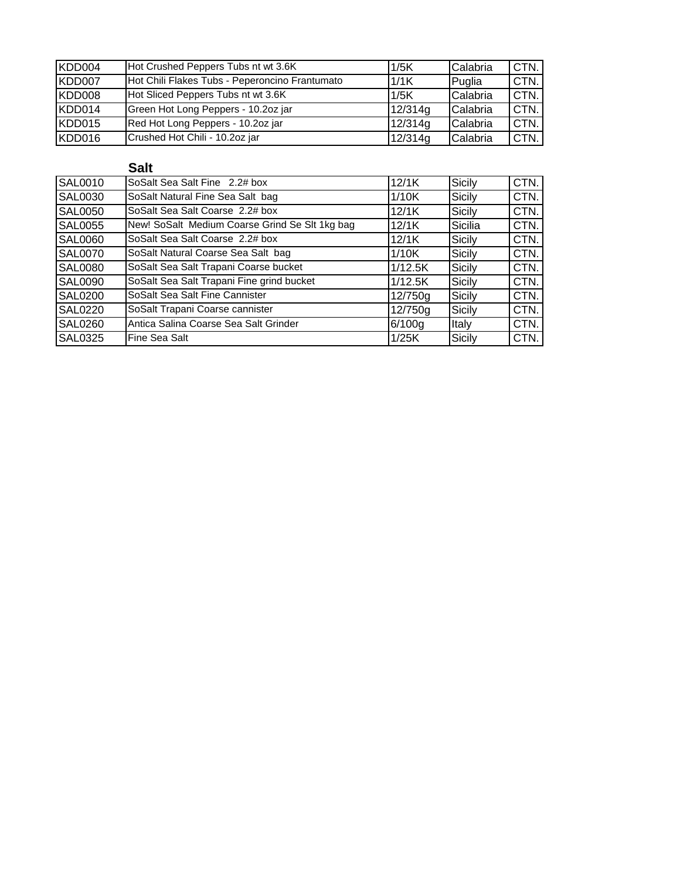| KDD004 | Hot Crushed Peppers Tubs nt wt 3.6K            | 1/5K    | Calabria | CTN.  |
|--------|------------------------------------------------|---------|----------|-------|
| KDD007 | Hot Chili Flakes Tubs - Peperoncino Frantumato | 1/1K    | Puglia   | CTN.  |
| KDD008 | Hot Sliced Peppers Tubs nt wt 3.6K             | 1/5K    | Calabria | 'CTN. |
| KDD014 | Green Hot Long Peppers - 10.2oz jar            | 12/314g | Calabria | CTN.  |
| KDD015 | Red Hot Long Peppers - 10.2oz jar              | 12/314g | Calabria | CTN.  |
| KDD016 | Crushed Hot Chili - 10.2oz jar                 | 12/314g | Calabria | CTN.  |

## **Salt**

| <b>SAL0010</b> | SoSalt Sea Salt Fine 2.2# box                  | 12/1K   | Sicily        | CTN. |
|----------------|------------------------------------------------|---------|---------------|------|
| <b>SAL0030</b> | SoSalt Natural Fine Sea Salt bag               | 1/10K   | <b>Sicily</b> | CTN. |
| <b>SAL0050</b> | SoSalt Sea Salt Coarse 2.2# box                | 12/1K   | Sicily        | CTN. |
| <b>SAL0055</b> | New! SoSalt Medium Coarse Grind Se Slt 1kg bag | 12/1K   | Sicilia       | CTN. |
| <b>SAL0060</b> | SoSalt Sea Salt Coarse 2.2# box                | 12/1K   | Sicily        | CTN. |
| <b>SAL0070</b> | SoSalt Natural Coarse Sea Salt bag             | 1/10K   | <b>Sicily</b> | CTN. |
| <b>SAL0080</b> | SoSalt Sea Salt Trapani Coarse bucket          | 1/12.5K | Sicily        | CTN. |
| <b>SAL0090</b> | SoSalt Sea Salt Trapani Fine grind bucket      | 1/12.5K | <b>Sicily</b> | CTN. |
| <b>SAL0200</b> | SoSalt Sea Salt Fine Cannister                 | 12/750g | Sicily        | CTN. |
| <b>SAL0220</b> | SoSalt Trapani Coarse cannister                | 12/750g | <b>Sicily</b> | CTN. |
| <b>SAL0260</b> | Antica Salina Coarse Sea Salt Grinder          | 6/100q  | Italy         | CTN. |
| <b>SAL0325</b> | Fine Sea Salt                                  | 1/25K   | Sicily        | CTN. |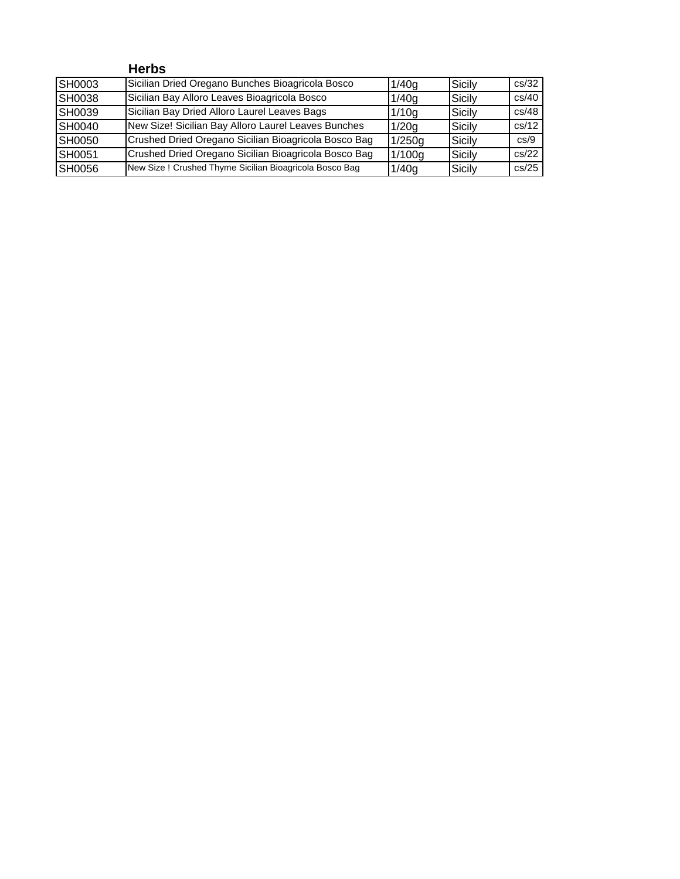|               | <b>Herbs</b>                                           |        |        |       |
|---------------|--------------------------------------------------------|--------|--------|-------|
| SH0003        | Sicilian Dried Oregano Bunches Bioagricola Bosco       | 1/40g  | Sicily | cs/32 |
| <b>SH0038</b> | Sicilian Bay Alloro Leaves Bioagricola Bosco           | 1/40q  | Sicily | cs/40 |
| SH0039        | Sicilian Bay Dried Alloro Laurel Leaves Bags           | 1/10g  | Sicily | cs/48 |
| <b>SH0040</b> | New Size! Sicilian Bay Alloro Laurel Leaves Bunches    | 1/20q  | Sicily | cs/12 |
| SH0050        | Crushed Dried Oregano Sicilian Bioagricola Bosco Bag   | 1/250g | Sicily | cs/9  |
| SH0051        | Crushed Dried Oregano Sicilian Bioagricola Bosco Bag   | 1/100g | Sicily | cs/22 |
| SH0056        | New Size! Crushed Thyme Sicilian Bioagricola Bosco Bag | 1/40q  | Sicily | cs/25 |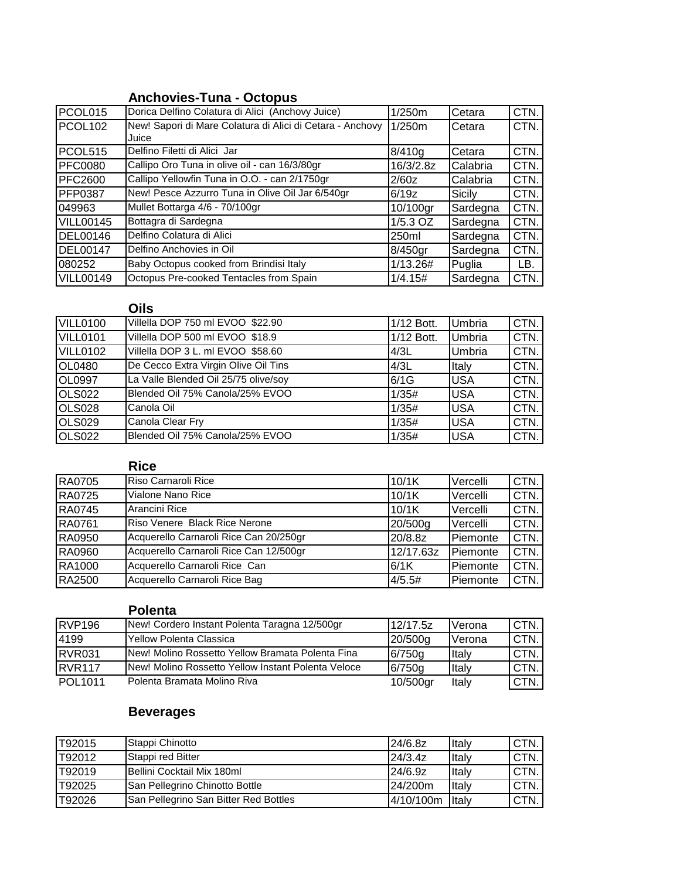### **Anchovies-Tuna - Octopus**

| PCOL015          | Dorica Delfino Colatura di Alici (Anchovy Juice)          | 1/250m     | Cetara        | CTN. |
|------------------|-----------------------------------------------------------|------------|---------------|------|
| <b>PCOL102</b>   | New! Sapori di Mare Colatura di Alici di Cetara - Anchovy | 1/250m     | Cetara        | CTN. |
|                  | Juice                                                     |            |               |      |
| PCOL515          | Delfino Filetti di Alici Jar                              | 8/410q     | Cetara        | CTN. |
| <b>PFC0080</b>   | Callipo Oro Tuna in olive oil - can 16/3/80gr             | 16/3/2.8z  | Calabria      | CTN. |
| <b>PFC2600</b>   | Callipo Yellowfin Tuna in O.O. - can 2/1750gr             | 2/60z      | Calabria      | CTN. |
| <b>PFP0387</b>   | New! Pesce Azzurro Tuna in Olive Oil Jar 6/540gr          | 6/19z      | <b>Sicily</b> | CTN. |
| 049963           | Mullet Bottarga 4/6 - 70/100gr                            | 10/100gr   | Sardegna      | CTN. |
| <b>VILL00145</b> | Bottagra di Sardegna                                      | $1/5.3$ OZ | Sardegna      | CTN. |
| DEL00146         | Delfino Colatura di Alici                                 | 250ml      | Sardegna      | CTN. |
| DEL00147         | Delfino Anchovies in Oil                                  | 8/450gr    | Sardegna      | CTN. |
| 080252           | Baby Octopus cooked from Brindisi Italy                   | 1/13.26#   | Puglia        | LB.  |
| <b>VILL00149</b> | Octopus Pre-cooked Tentacles from Spain                   | 1/4.15#    | Sardegna      | CTN. |

## **Oils**

| VILL0100           | Villella DOP 750 ml EVOO \$22.90     | 1/12 Bott. | Umbria        | CTN. |
|--------------------|--------------------------------------|------------|---------------|------|
| VILL0101           | Villella DOP 500 ml EVOO \$18.9      | 1/12 Bott. | <b>Umbria</b> | CTN. |
| <b>VILL0102</b>    | Villella DOP 3 L. ml EVOO \$58.60    | 4/3L       | Umbria        | CTN. |
| OL0480             | De Cecco Extra Virgin Olive Oil Tins | 4/3L       | Italy         | CTN. |
| <b>OL0997</b>      | La Valle Blended Oil 25/75 olive/soy | 6/1G       | <b>USA</b>    | CTN. |
| <b>OLS022</b>      | Blended Oil 75% Canola/25% EVOO      | 1/35#      | <b>USA</b>    | CTN. |
| OLS <sub>028</sub> | Canola Oil                           | 1/35#      | <b>USA</b>    | CTN. |
| OLS <sub>029</sub> | Canola Clear Fry                     | 1/35#      | <b>USA</b>    | CTN. |
| <b>OLS022</b>      | Blended Oil 75% Canola/25% EVOO      | 1/35#      | <b>USA</b>    | CTN. |

## **Rice**

| <b>RA0705</b> | Riso Carnaroli Rice                    | 10/1K     | Vercelli | CTN. |
|---------------|----------------------------------------|-----------|----------|------|
| <b>RA0725</b> | Vialone Nano Rice                      | 10/1K     | Vercelli | CTN. |
| <b>RA0745</b> | Arancini Rice                          | 10/1K     | Vercelli | CTN. |
| <b>RA0761</b> | Riso Venere Black Rice Nerone          | 20/500g   | Vercelli | CTN. |
| RA0950        | Acquerello Carnaroli Rice Can 20/250gr | 20/8.8z   | Piemonte | CTN. |
| RA0960        | Acquerello Carnaroli Rice Can 12/500gr | 12/17.63z | Piemonte | CTN. |
| RA1000        | Acquerello Carnaroli Rice Can          | 6/1K      | Piemonte | CTN. |
| RA2500        | Acquerello Carnaroli Rice Bag          | 4/5.5#    | Piemonte | CTN. |

### **Polenta**

| <b>RVP196</b>       | New! Cordero Instant Polenta Taragna 12/500gr              | 12/17.5z | Verona   | CTN. |
|---------------------|------------------------------------------------------------|----------|----------|------|
| 4199                | l Yellow Polenta Classica                                  | 20/500g  | l Verona | CTN. |
| RVR <sub>031</sub>  | INew! Molino Rossetto Yellow Bramata Polenta Fina          | 6/750q   | Italv    | CTN. |
| RVR <sub>117</sub>  | <b>INew! Molino Rossetto Yellow Instant Polenta Veloce</b> | 6/750q   | Italy    | CTN. |
| POL <sub>1011</sub> | Polenta Bramata Molino Riva                                | 10/500gr | Italv    | CTN. |

# **Beverages**

| T92015  | Stappi Chinotto                       | 24/6.8z   | Italv | CTN. |
|---------|---------------------------------------|-----------|-------|------|
| T92012  | Stappi red Bitter                     | 24/3.4z   | Italv | CTN. |
| T92019  | <b>IBellini Cocktail Mix 180ml</b>    | 24/6.9z   | Italy | CTN. |
| IT92025 | San Pellegrino Chinotto Bottle        | 24/200m   | Italv | CTN. |
| T92026  | San Pellegrino San Bitter Red Bottles | 4/10/100m | Italy | CTN. |